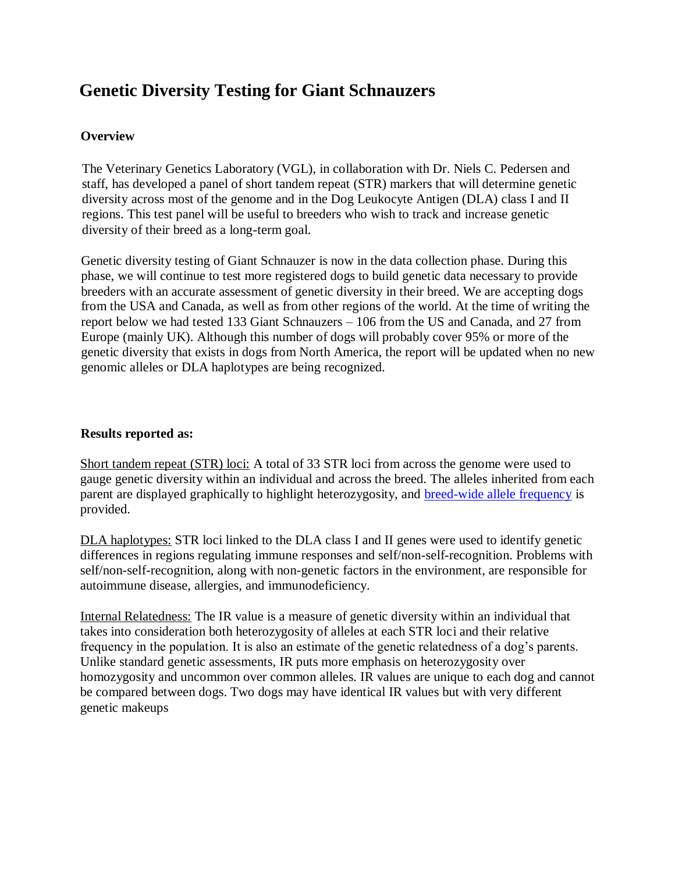# **Genetic Diversity Testing for Giant Schnauzers**

### **Overview**

The Veterinary Genetics Laboratory (VGL), in collaboration with Dr. Niels C. Pedersen and staff, has developed a panel of short tandem repeat (STR) markers that will determine genetic diversity across most of the genome and in the Dog Leukocyte Antigen (DLA) class I and II regions. This test panel will be useful to breeders who wish to track and increase genetic diversity of their breed as a long-term goal.

Genetic diversity testing of Giant Schnauzer is now in the data collection phase. During this phase, we will continue to test more registered dogs to build genetic data necessary to provide breeders with an accurate assessment of genetic diversity in their breed. We are accepting dogs from the USA and Canada, as well as from other regions of the world. At the time of writing the report below we had tested 133 Giant Schnauzers – 106 from the US and Canada, and 27 from Europe (mainly UK). Although this number of dogs will probably cover 95% or more of the genetic diversity that exists in dogs from North America, the report will be updated when no new genomic alleles or DLA haplotypes are being recognized.

#### **[Results reported as:](https://www.vgl.ucdavis.edu/myvgl/dogsporder.html)**

Short tandem repeat (STR) loci: A total of 33 STR loci from across the genome were used to gauge genetic diversity within an individual and across the breed. The alleles inherited from each parent are displayed graphically to highlight heterozygosity, and breed-wide allele frequency is provided.

DLA haplotypes: STR loci linked to the DLA class I and II genes were used to identify genetic differences in regions regulating immune responses and self/non-self-recognition. Problems with self/non-self-recognition, along with non-genetic factors in the environment, are responsible for autoimmune disease, allergies, and immunodeficiency.

Internal Relatedness: The IR value is a measure of genetic diversity within an individual that takes into consideration both heterozygosity of alleles at each STR loci and their relative frequency in the population. It is also an estimate of the genetic relatedness of a dog's parents. Unlike standard genetic assessments, IR puts more emphasis on heterozygosity over homozygosity and uncommon over common alleles. IR values are unique to each dog and cannot be compared between dogs. Two dogs may have identical IR values but with very different genetic makeups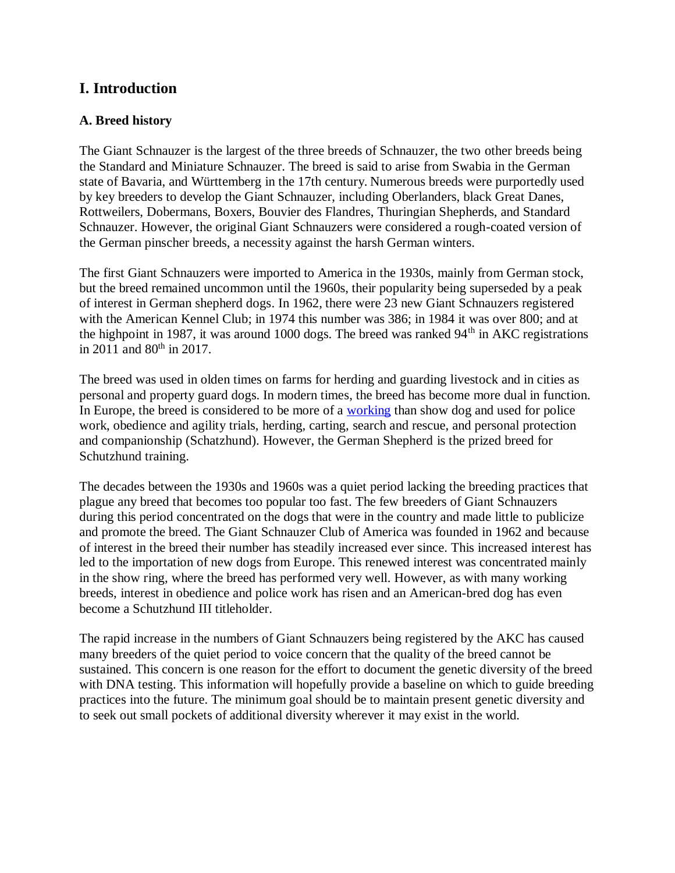## **I. Introduction**

#### **A. Breed history**

The Giant Schnauzer is the largest of the three breeds of Schnauzer, the two other breeds being the Standard and Miniature Schnauzer. The breed is said to arise from Swabia in the German state of Bavaria, and Württemberg in the 17th century. Numerous breeds were purportedly used by key breeders to develop the Giant Schnauzer, including Oberlanders, black Great Danes, Rottweilers, Dobermans, Boxers, Bouvier des Flandres, Thuringian Shepherds, and Standard Schnauzer. However, the original Giant Schnauzers were considered a rough-coated version of the German pinscher breeds, a necessity against the harsh German winters.

The first Giant Schnauzers were imported to America in the 1930s, mainly from German stock, but the breed remained uncommon until the 1960s, their popularity being superseded by a peak of interest in German shepherd dogs. In 1962, there were 23 new Giant Schnauzers registered with the American Kennel Club; in 1974 this number was 386; in 1984 it was over 800; and at the highpoint in 1987, it was around 1000 dogs. The breed was ranked  $94<sup>th</sup>$  in AKC registrations in 2011 and  $80^{th}$  in 2017.

The breed was used in olden times on farms for herding and guarding livestock and in cities as personal and property guard dogs. In modern times, the breed has become more dual in function. In Europe, the breed is considered to be more of a [working](https://en.wikipedia.org/wiki/Working_dog) than show dog and used for police work, obedience and agility trials, herding, carting, search and rescue, and personal protection and companionship (Schatzhund). However, the German Shepherd is the prized breed for Schutzhund training.

The decades between the 1930s and 1960s was a quiet period lacking the breeding practices that plague any breed that becomes too popular too fast. The few breeders of Giant Schnauzers during this period concentrated on the dogs that were in the country and made little to publicize and promote the breed. The Giant Schnauzer Club of America was founded in 1962 and because of interest in the breed their number has steadily increased ever since. This increased interest has led to the importation of new dogs from Europe. This renewed interest was concentrated mainly in the show ring, where the breed has performed very well. However, as with many working breeds, interest in obedience and police work has risen and an American-bred dog has even become a Schutzhund III titleholder.

The rapid increase in the numbers of Giant Schnauzers being registered by the AKC has caused many breeders of the quiet period to voice concern that the quality of the breed cannot be sustained. This concern is one reason for the effort to document the genetic diversity of the breed with DNA testing. This information will hopefully provide a baseline on which to guide breeding practices into the future. The minimum goal should be to maintain present genetic diversity and to seek out small pockets of additional diversity wherever it may exist in the world.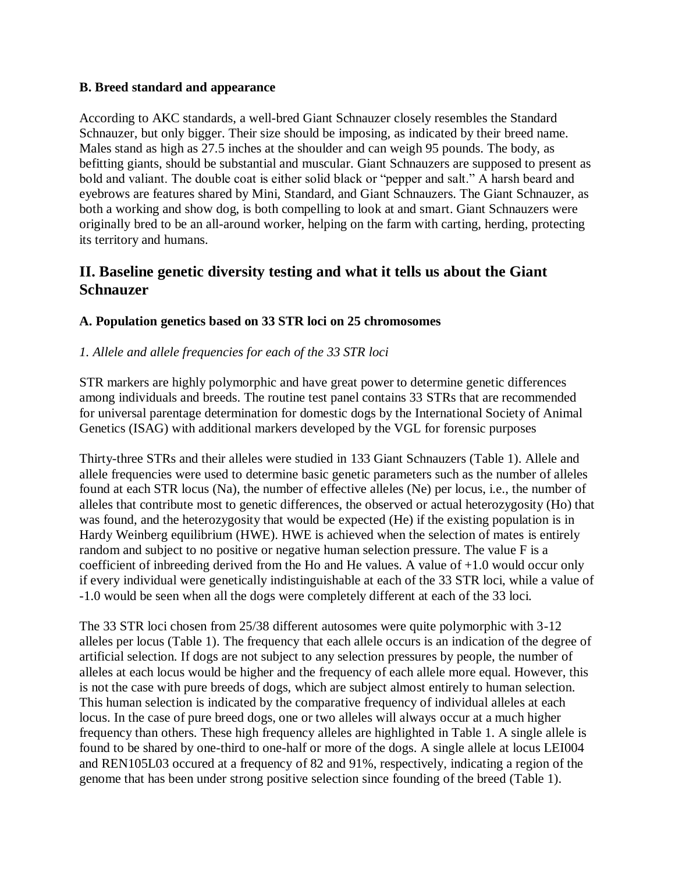#### **B. Breed standard and appearance**

According to AKC standards, a well-bred Giant Schnauzer closely resembles the Standard Schnauzer, but only bigger. Their size should be imposing, as indicated by their breed name. Males stand as high as 27.5 inches at the shoulder and can weigh 95 pounds. The body, as befitting giants, should be substantial and muscular. Giant Schnauzers are supposed to present as bold and valiant. The double coat is either solid black or "pepper and salt." A harsh beard and eyebrows are features shared by Mini, Standard, and Giant Schnauzers. The Giant Schnauzer, as both a working and show dog, is both compelling to look at and smart. Giant Schnauzers were originally bred to be an all-around worker, helping on the farm with carting, herding, protecting its territory and humans.

## **II. Baseline genetic diversity testing and what it tells us about the Giant Schnauzer**

### **A. Population genetics based on 33 STR loci on 25 chromosomes**

### *1. Allele and allele frequencies for each of the 33 STR loci*

STR markers are highly polymorphic and have great power to determine genetic differences among individuals and breeds. The routine test panel contains 33 STRs that are recommended for universal parentage determination for domestic dogs by the International Society of Animal Genetics (ISAG) with additional markers developed by the VGL for forensic purposes

Thirty-three STRs and their alleles were studied in 133 Giant Schnauzers (Table 1). Allele and allele frequencies were used to determine basic genetic parameters such as the number of alleles found at each STR locus (Na), the number of effective alleles (Ne) per locus, i.e., the number of alleles that contribute most to genetic differences, the observed or actual heterozygosity (Ho) that was found, and the heterozygosity that would be expected (He) if the existing population is in Hardy Weinberg equilibrium (HWE). HWE is achieved when the selection of mates is entirely random and subject to no positive or negative human selection pressure. The value F is a coefficient of inbreeding derived from the Ho and He values. A value of +1.0 would occur only if every individual were genetically indistinguishable at each of the 33 STR loci, while a value of -1.0 would be seen when all the dogs were completely different at each of the 33 loci.

The 33 STR loci chosen from 25/38 different autosomes were quite polymorphic with 3-12 alleles per locus (Table 1). The frequency that each allele occurs is an indication of the degree of artificial selection. If dogs are not subject to any selection pressures by people, the number of alleles at each locus would be higher and the frequency of each allele more equal. However, this is not the case with pure breeds of dogs, which are subject almost entirely to human selection. This human selection is indicated by the comparative frequency of individual alleles at each locus. In the case of pure breed dogs, one or two alleles will always occur at a much higher frequency than others. These high frequency alleles are highlighted in Table 1. A single allele is found to be shared by one-third to one-half or more of the dogs. A single allele at locus LEI004 and REN105L03 occured at a frequency of 82 and 91%, respectively, indicating a region of the genome that has been under strong positive selection since founding of the breed (Table 1).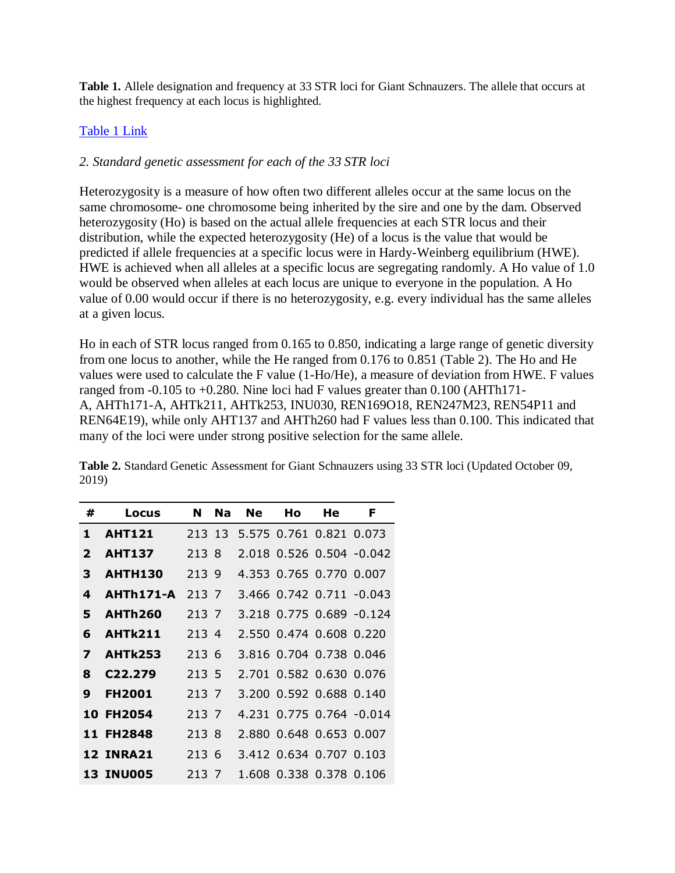**Table 1.** Allele designation and frequency at 33 STR loci for Giant Schnauzers. The allele that occurs at the highest frequency at each locus is highlighted.

#### [Table 1 Link](https://www.vgl.ucdavis.edu/services/dog/GeneticDiversityInGiantSchnauzersSTRInfo.php)

#### *2. Standard genetic assessment for each of the 33 STR loci*

Heterozygosity is a measure of how often two different alleles occur at the same locus on the same chromosome- one chromosome being inherited by the sire and one by the dam. Observed heterozygosity (Ho) is based on the actual allele frequencies at each STR locus and their distribution, while the expected heterozygosity (He) of a locus is the value that would be predicted if allele frequencies at a specific locus were in Hardy-Weinberg equilibrium (HWE). HWE is achieved when all alleles at a specific locus are segregating randomly. A Ho value of 1.0 would be observed when alleles at each locus are unique to everyone in the population. A Ho value of 0.00 would occur if there is no heterozygosity, e.g. every individual has the same alleles at a given locus.

Ho in each of STR locus ranged from 0.165 to 0.850, indicating a large range of genetic diversity from one locus to another, while the He ranged from 0.176 to 0.851 (Table 2). The Ho and He values were used to calculate the F value (1-Ho/He), a measure of deviation from HWE. F values ranged from  $-0.105$  to  $+0.280$ . Nine loci had F values greater than  $0.100$  (AHTh171-A, AHTh171-A, AHTk211, AHTk253, INU030, REN169O18, REN247M23, REN54P11 and REN64E19), while only AHT137 and AHTh260 had F values less than 0.100. This indicated that many of the loci were under strong positive selection for the same allele.

| #              | Locus                | N     | <b>Na</b> | <b>Ne</b> | Ho | He                             | F                        |
|----------------|----------------------|-------|-----------|-----------|----|--------------------------------|--------------------------|
| 1              | <b>AHT121</b>        |       |           |           |    | 213 13 5.575 0.761 0.821 0.073 |                          |
| $\overline{2}$ | <b>AHT137</b>        | 213 8 |           |           |    |                                | 2.018 0.526 0.504 -0.042 |
| 3              | <b>AHTH130</b>       | 213 9 |           |           |    | 4.353 0.765 0.770 0.007        |                          |
| 4              | AHTh171-A            | 213 7 |           |           |    |                                | 3.466 0.742 0.711 -0.043 |
| 5              | <b>AHTh260</b>       | 213 7 |           |           |    |                                | 3.218 0.775 0.689 -0.124 |
| 6              | AHTk211              | 213 4 |           |           |    | 2.550 0.474 0.608 0.220        |                          |
| 7              | <b>AHTk253</b>       | 213 6 |           |           |    | 3.816 0.704 0.738 0.046        |                          |
| 8              | C <sub>22</sub> .279 | 213 5 |           |           |    | 2.701 0.582 0.630 0.076        |                          |
| 9              | <b>FH2001</b>        | 213 7 |           |           |    | 3.200 0.592 0.688 0.140        |                          |
|                | 10 FH2054            | 213 7 |           |           |    |                                | 4.231 0.775 0.764 -0.014 |
|                | 11 FH2848            | 213 8 |           |           |    | 2.880 0.648 0.653 0.007        |                          |
|                | <b>12 INRA21</b>     | 213 6 |           |           |    | 3.412 0.634 0.707 0.103        |                          |
|                | <b>13 INU005</b>     | 213 7 |           |           |    | 1.608 0.338 0.378 0.106        |                          |

**Table 2.** Standard Genetic Assessment for Giant Schnauzers using 33 STR loci (Updated October 09, 2019)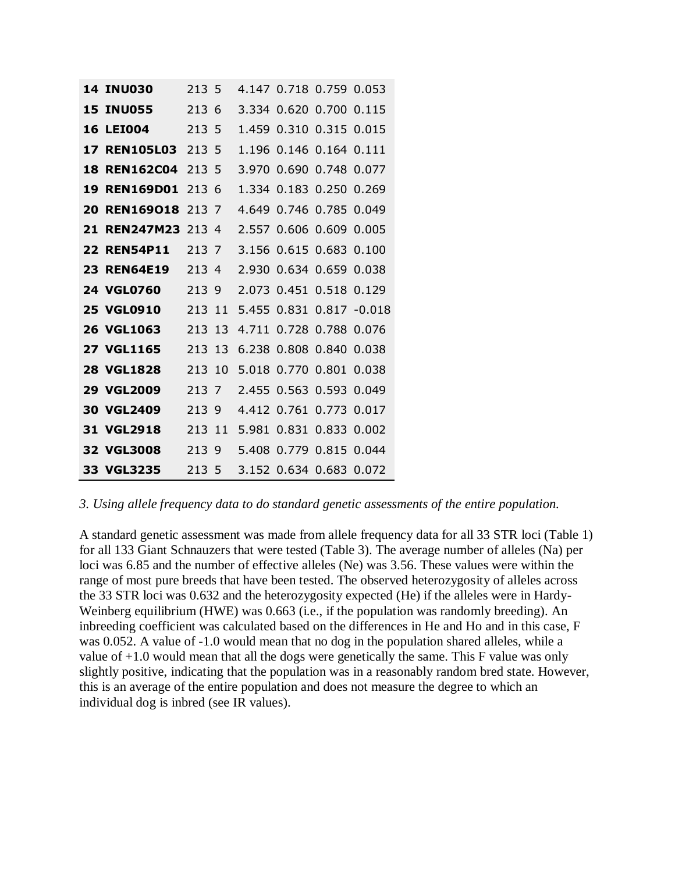|    | <b>14 INU030</b>    | 213 5  |     |       |               | 4.147 0.718 0.759 0.053 |                 |
|----|---------------------|--------|-----|-------|---------------|-------------------------|-----------------|
|    | <b>15 INU055</b>    | 213 6  |     |       | 3.334 0.620   | 0.700 0.115             |                 |
|    | <b>16 LEIO04</b>    | 213 5  |     |       |               | 1.459 0.310 0.315 0.015 |                 |
|    | <b>17 REN105L03</b> | 213 5  |     |       | 1.196   0.146 | 0.164 0.111             |                 |
|    | <b>18 REN162C04</b> | 213 5  |     |       | 3.970 0.690   |                         | 0.748 0.077     |
| 19 | <b>REN169D01</b>    | 213 6  |     |       | 1.334 0.183   | 0.250 0.269             |                 |
|    | 20 REN169018        | 213 7  |     |       |               | 4.649 0.746 0.785 0.049 |                 |
|    | 21 REN247M23        | 213.4  |     |       |               | 2.557 0.606 0.609 0.005 |                 |
|    | <b>22 REN54P11</b>  | 213 7  |     |       |               | 3.156 0.615 0.683 0.100 |                 |
|    | <b>23 REN64E19</b>  | 213    | 4   |       |               | 2.930 0.634 0.659 0.038 |                 |
|    | <b>24 VGL0760</b>   | 213 9  |     |       | 2.073 0.451   | 0.518 0.129             |                 |
|    | <b>25 VGL0910</b>   | 213    | -11 |       | 5.455 0.831   |                         | $0.817 - 0.018$ |
|    | <b>26 VGL1063</b>   | 213    | 13  | 4.711 | 0.728         |                         | 0.788 0.076     |
|    | <b>27 VGL1165</b>   | 213    | 13  |       | 6.238 0.808   | 0.840                   | 0.038           |
|    | <b>28 VGL1828</b>   | 213    | 10  |       | 5.018 0.770   | 0.801                   | 0.038           |
|    | <b>29 VGL2009</b>   | 213 7  |     |       | 2.455 0.563   | 0.593 0.049             |                 |
|    | <b>30 VGL2409</b>   | 213 9  |     |       | 4.412 0.761   | 0.773 0.017             |                 |
|    | 31 VGL2918          | 213 11 |     |       | 5.981 0.831   | 0.833 0.002             |                 |
|    | 32 VGL3008          | 213    | 9   |       | 5.408 0.779   | 0.815 0.044             |                 |
|    | 33 VGL3235          | 213 5  |     |       |               | 3.152 0.634 0.683 0.072 |                 |

#### *3. Using allele frequency data to do standard genetic assessments of the entire population.*

A standard genetic assessment was made from allele frequency data for all 33 STR loci (Table 1) for all 133 Giant Schnauzers that were tested (Table 3). The average number of alleles (Na) per loci was 6.85 and the number of effective alleles (Ne) was 3.56. These values were within the range of most pure breeds that have been tested. The observed heterozygosity of alleles across the 33 STR loci was 0.632 and the heterozygosity expected (He) if the alleles were in Hardy-Weinberg equilibrium (HWE) was 0.663 (i.e., if the population was randomly breeding). An inbreeding coefficient was calculated based on the differences in He and Ho and in this case, F was 0.052. A value of -1.0 would mean that no dog in the population shared alleles, while a value of  $+1.0$  would mean that all the dogs were genetically the same. This F value was only slightly positive, indicating that the population was in a reasonably random bred state. However, this is an average of the entire population and does not measure the degree to which an individual dog is inbred (see IR values).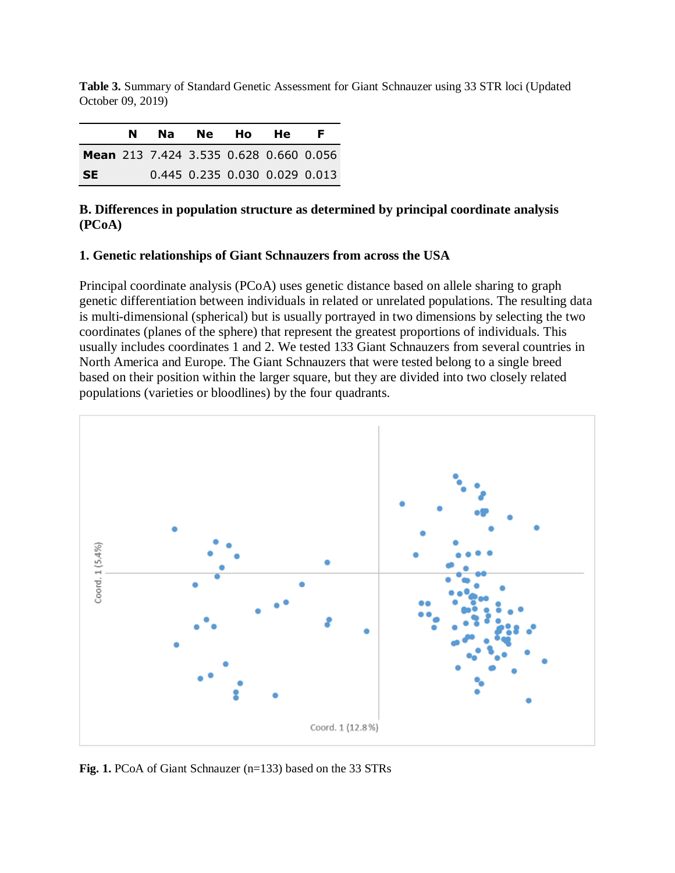**Table 3.** Summary of Standard Genetic Assessment for Giant Schnauzer using 33 STR loci (Updated October 09, 2019)

|                                               | N |  | Na Ne Ho He                   | F. |
|-----------------------------------------------|---|--|-------------------------------|----|
| <b>Mean</b> 213 7.424 3.535 0.628 0.660 0.056 |   |  |                               |    |
| <b>SE</b>                                     |   |  | 0.445 0.235 0.030 0.029 0.013 |    |

#### **B. Differences in population structure as determined by principal coordinate analysis (PCoA)**

#### **1. Genetic relationships of Giant Schnauzers from across the USA**

Principal coordinate analysis (PCoA) uses genetic distance based on allele sharing to graph genetic differentiation between individuals in related or unrelated populations. The resulting data is multi-dimensional (spherical) but is usually portrayed in two dimensions by selecting the two coordinates (planes of the sphere) that represent the greatest proportions of individuals. This usually includes coordinates 1 and 2. We tested 133 Giant Schnauzers from several countries in North America and Europe. The Giant Schnauzers that were tested belong to a single breed based on their position within the larger square, but they are divided into two closely related populations (varieties or bloodlines) by the four quadrants.



**Fig. 1.** PCoA of Giant Schnauzer (n=133) based on the 33 STRs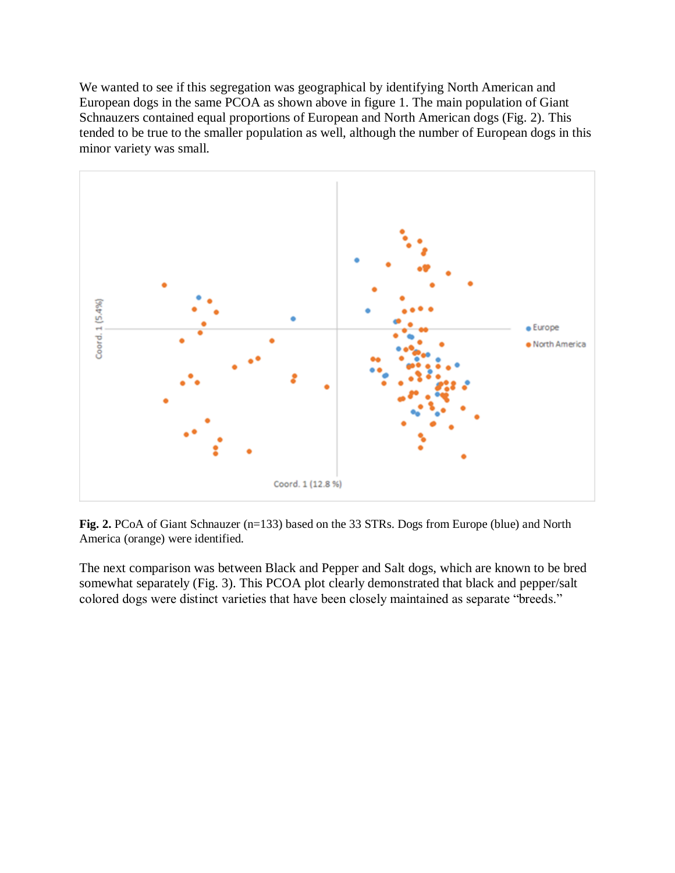We wanted to see if this segregation was geographical by identifying North American and European dogs in the same PCOA as shown above in figure 1. The main population of Giant Schnauzers contained equal proportions of European and North American dogs (Fig. 2). This tended to be true to the smaller population as well, although the number of European dogs in this minor variety was small.



**Fig. 2.** PCoA of Giant Schnauzer (n=133) based on the 33 STRs. Dogs from Europe (blue) and North America (orange) were identified.

The next comparison was between Black and Pepper and Salt dogs, which are known to be bred somewhat separately (Fig. 3). This PCOA plot clearly demonstrated that black and pepper/salt colored dogs were distinct varieties that have been closely maintained as separate "breeds."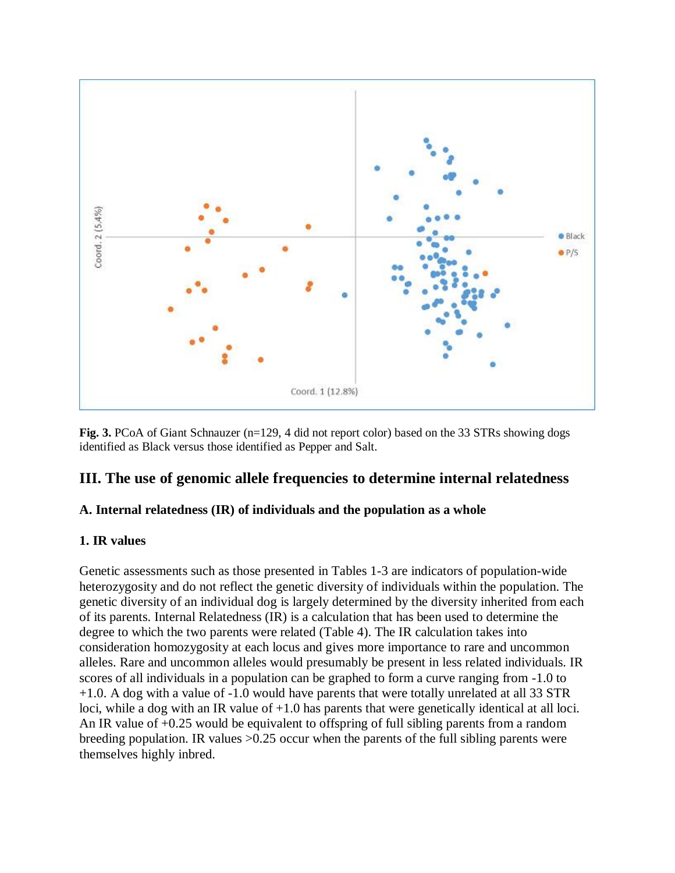

**Fig. 3.** PCoA of Giant Schnauzer (n=129, 4 did not report color) based on the 33 STRs showing dogs identified as Black versus those identified as Pepper and Salt.

## **III. The use of genomic allele frequencies to determine internal relatedness**

### **A. Internal relatedness (IR) of individuals and the population as a whole**

#### **1. IR values**

Genetic assessments such as those presented in Tables 1-3 are indicators of population-wide heterozygosity and do not reflect the genetic diversity of individuals within the population. The genetic diversity of an individual dog is largely determined by the diversity inherited from each of its parents. Internal Relatedness (IR) is a calculation that has been used to determine the degree to which the two parents were related (Table 4). The IR calculation takes into consideration homozygosity at each locus and gives more importance to rare and uncommon alleles. Rare and uncommon alleles would presumably be present in less related individuals. IR scores of all individuals in a population can be graphed to form a curve ranging from -1.0 to +1.0. A dog with a value of -1.0 would have parents that were totally unrelated at all 33 STR loci, while a dog with an IR value of +1.0 has parents that were genetically identical at all loci. An IR value of +0.25 would be equivalent to offspring of full sibling parents from a random breeding population. IR values >0.25 occur when the parents of the full sibling parents were themselves highly inbred.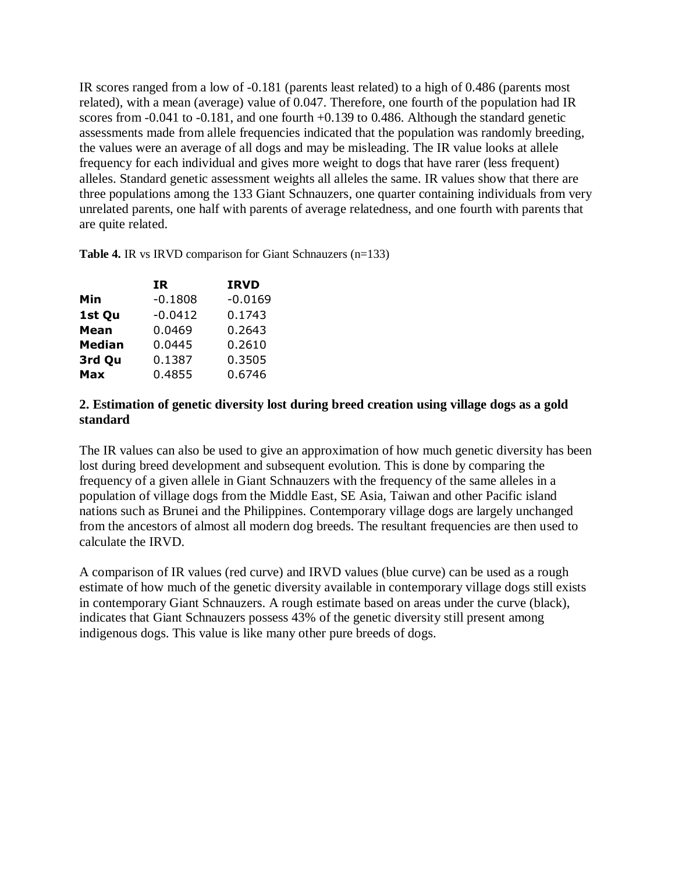IR scores ranged from a low of -0.181 (parents least related) to a high of 0.486 (parents most related), with a mean (average) value of 0.047. Therefore, one fourth of the population had IR scores from  $-0.041$  to  $-0.181$ , and one fourth  $+0.139$  to 0.486. Although the standard genetic assessments made from allele frequencies indicated that the population was randomly breeding, the values were an average of all dogs and may be misleading. The IR value looks at allele frequency for each individual and gives more weight to dogs that have rarer (less frequent) alleles. Standard genetic assessment weights all alleles the same. IR values show that there are three populations among the 133 Giant Schnauzers, one quarter containing individuals from very unrelated parents, one half with parents of average relatedness, and one fourth with parents that are quite related.

**Table 4.** IR vs IRVD comparison for Giant Schnauzers (n=133)

| IR        | <b>IRVD</b> |
|-----------|-------------|
| $-0.1808$ | $-0.0169$   |
| $-0.0412$ | 0.1743      |
| 0.0469    | 0.2643      |
| 0.0445    | 0.2610      |
| 0.1387    | 0.3505      |
| 0.4855    | 0.6746      |
|           |             |

#### **2. Estimation of genetic diversity lost during breed creation using village dogs as a gold standard**

The IR values can also be used to give an approximation of how much genetic diversity has been lost during breed development and subsequent evolution. This is done by comparing the frequency of a given allele in Giant Schnauzers with the frequency of the same alleles in a population of village dogs from the Middle East, SE Asia, Taiwan and other Pacific island nations such as Brunei and the Philippines. Contemporary village dogs are largely unchanged from the ancestors of almost all modern dog breeds. The resultant frequencies are then used to calculate the IRVD.

A comparison of IR values (red curve) and IRVD values (blue curve) can be used as a rough estimate of how much of the genetic diversity available in contemporary village dogs still exists in contemporary Giant Schnauzers. A rough estimate based on areas under the curve (black), indicates that Giant Schnauzers possess 43% of the genetic diversity still present among indigenous dogs. This value is like many other pure breeds of dogs.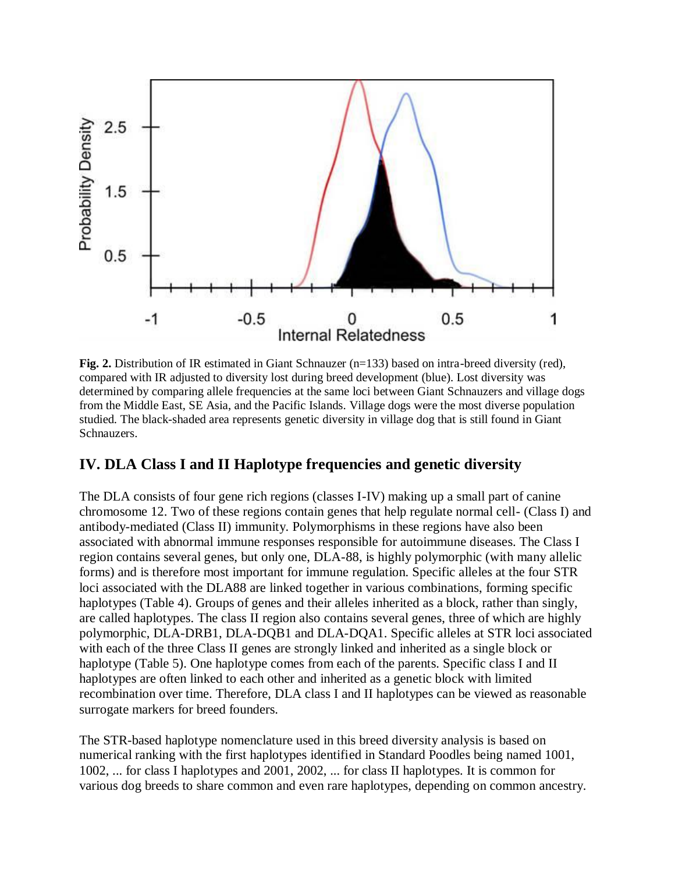

**Fig. 2.** Distribution of IR estimated in Giant Schnauzer (n=133) based on intra-breed diversity (red), compared with IR adjusted to diversity lost during breed development (blue). Lost diversity was determined by comparing allele frequencies at the same loci between Giant Schnauzers and village dogs from the Middle East, SE Asia, and the Pacific Islands. Village dogs were the most diverse population studied. The black-shaded area represents genetic diversity in village dog that is still found in Giant Schnauzers.

## **IV. DLA Class I and II Haplotype frequencies and genetic diversity**

The DLA consists of four gene rich regions (classes I-IV) making up a small part of canine chromosome 12. Two of these regions contain genes that help regulate normal cell- (Class I) and antibody-mediated (Class II) immunity. Polymorphisms in these regions have also been associated with abnormal immune responses responsible for autoimmune diseases. The Class I region contains several genes, but only one, DLA-88, is highly polymorphic (with many allelic forms) and is therefore most important for immune regulation. Specific alleles at the four STR loci associated with the DLA88 are linked together in various combinations, forming specific haplotypes (Table 4). Groups of genes and their alleles inherited as a block, rather than singly, are called haplotypes. The class II region also contains several genes, three of which are highly polymorphic, DLA-DRB1, DLA-DQB1 and DLA-DQA1. Specific alleles at STR loci associated with each of the three Class II genes are strongly linked and inherited as a single block or haplotype (Table 5). One haplotype comes from each of the parents. Specific class I and II haplotypes are often linked to each other and inherited as a genetic block with limited recombination over time. Therefore, DLA class I and II haplotypes can be viewed as reasonable surrogate markers for breed founders.

The STR-based haplotype nomenclature used in this breed diversity analysis is based on numerical ranking with the first haplotypes identified in Standard Poodles being named 1001, 1002, ... for class I haplotypes and 2001, 2002, ... for class II haplotypes. It is common for various dog breeds to share common and even rare haplotypes, depending on common ancestry.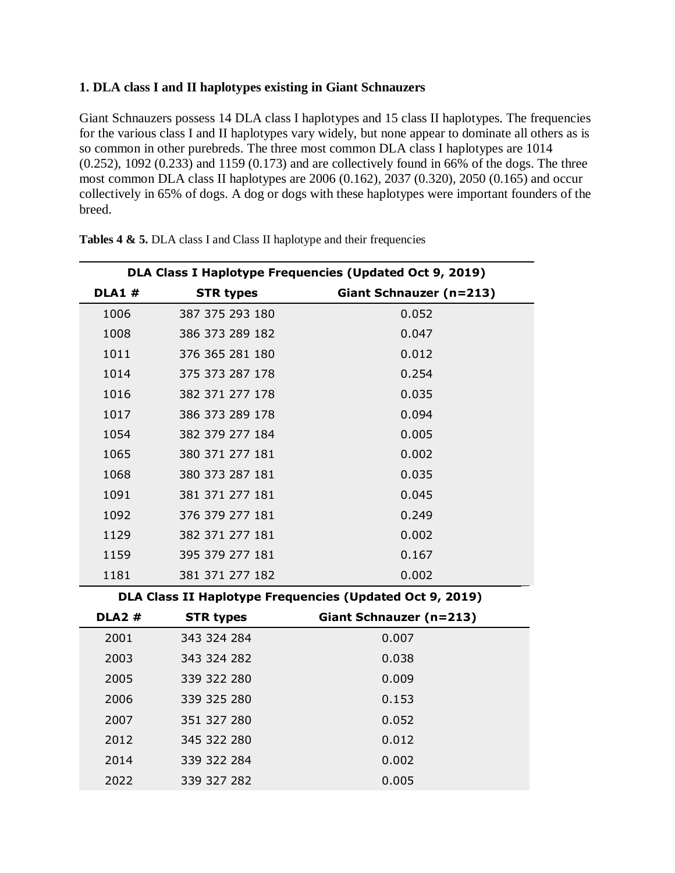#### **1. DLA class I and II haplotypes existing in Giant Schnauzers**

Giant Schnauzers possess 14 DLA class I haplotypes and 15 class II haplotypes. The frequencies for the various class I and II haplotypes vary widely, but none appear to dominate all others as is so common in other purebreds. The three most common DLA class I haplotypes are 1014  $(0.252)$ , 1092  $(0.233)$  and 1159  $(0.173)$  and are collectively found in 66% of the dogs. The three most common DLA class II haplotypes are 2006 (0.162), 2037 (0.320), 2050 (0.165) and occur collectively in 65% of dogs. A dog or dogs with these haplotypes were important founders of the breed.

| DLA Class I Haplotype Frequencies (Updated Oct 9, 2019) |                  |                                                          |  |  |  |  |  |  |  |
|---------------------------------------------------------|------------------|----------------------------------------------------------|--|--|--|--|--|--|--|
| <b>DLA1#</b>                                            | <b>STR types</b> | Giant Schnauzer (n=213)                                  |  |  |  |  |  |  |  |
| 1006                                                    | 387 375 293 180  | 0.052                                                    |  |  |  |  |  |  |  |
| 1008                                                    | 386 373 289 182  | 0.047                                                    |  |  |  |  |  |  |  |
| 1011                                                    | 376 365 281 180  | 0.012                                                    |  |  |  |  |  |  |  |
| 1014                                                    | 375 373 287 178  | 0.254                                                    |  |  |  |  |  |  |  |
| 1016                                                    | 382 371 277 178  | 0.035                                                    |  |  |  |  |  |  |  |
| 1017                                                    | 386 373 289 178  | 0.094                                                    |  |  |  |  |  |  |  |
| 1054                                                    | 382 379 277 184  | 0.005                                                    |  |  |  |  |  |  |  |
| 1065                                                    | 380 371 277 181  | 0.002                                                    |  |  |  |  |  |  |  |
| 1068                                                    | 380 373 287 181  | 0.035                                                    |  |  |  |  |  |  |  |
| 1091                                                    | 381 371 277 181  | 0.045                                                    |  |  |  |  |  |  |  |
| 1092                                                    | 376 379 277 181  | 0.249                                                    |  |  |  |  |  |  |  |
| 1129                                                    | 382 371 277 181  | 0.002                                                    |  |  |  |  |  |  |  |
| 1159                                                    | 395 379 277 181  | 0.167                                                    |  |  |  |  |  |  |  |
| 1181                                                    | 381 371 277 182  | 0.002                                                    |  |  |  |  |  |  |  |
|                                                         |                  | DLA Class II Haplotype Frequencies (Updated Oct 9, 2019) |  |  |  |  |  |  |  |

**Tables 4 & 5.** DLA class I and Class II haplotype and their frequencies

**DLA2 # STR types Giant Schnauzer (n=213)** 343 324 284 0.007 343 324 282 0.038 339 322 280 0.009 339 325 280 0.153 351 327 280 0.052 345 322 280 0.012 339 322 284 0.002 339 327 282 0.005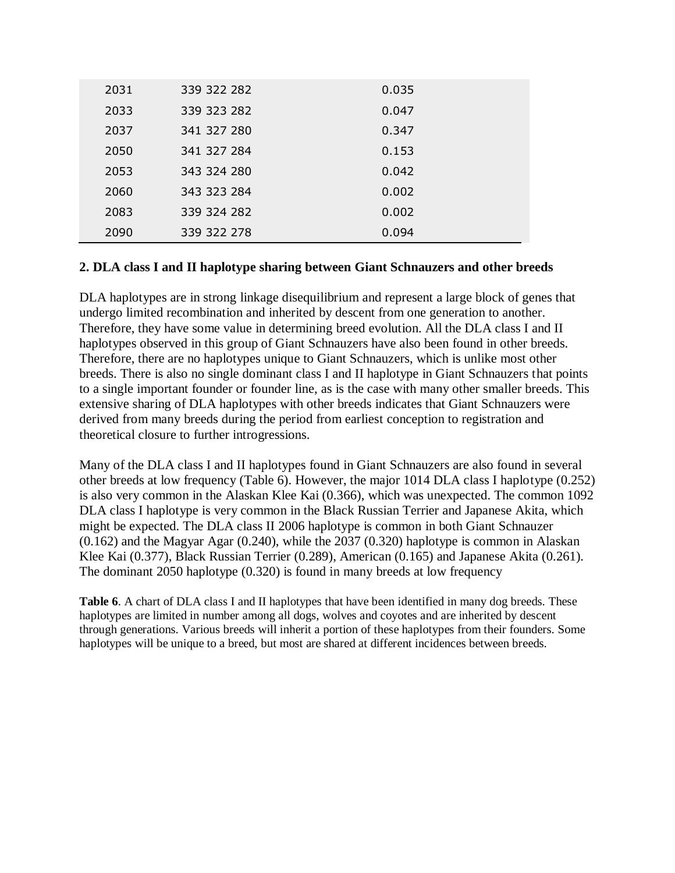| 2031 | 339 322 282 | 0.035 |
|------|-------------|-------|
| 2033 | 339 323 282 | 0.047 |
| 2037 | 341 327 280 | 0.347 |
| 2050 | 341 327 284 | 0.153 |
| 2053 | 343 324 280 | 0.042 |
| 2060 | 343 323 284 | 0.002 |
| 2083 | 339 324 282 | 0.002 |
| 2090 | 339 322 278 | 0.094 |

### **2. DLA class I and II haplotype sharing between Giant Schnauzers and other breeds**

DLA haplotypes are in strong linkage disequilibrium and represent a large block of genes that undergo limited recombination and inherited by descent from one generation to another. Therefore, they have some value in determining breed evolution. All the DLA class I and II haplotypes observed in this group of Giant Schnauzers have also been found in other breeds. Therefore, there are no haplotypes unique to Giant Schnauzers, which is unlike most other breeds. There is also no single dominant class I and II haplotype in Giant Schnauzers that points to a single important founder or founder line, as is the case with many other smaller breeds. This extensive sharing of DLA haplotypes with other breeds indicates that Giant Schnauzers were derived from many breeds during the period from earliest conception to registration and theoretical closure to further introgressions.

Many of the DLA class I and II haplotypes found in Giant Schnauzers are also found in several other breeds at low frequency (Table 6). However, the major 1014 DLA class I haplotype (0.252) is also very common in the Alaskan Klee Kai (0.366), which was unexpected. The common 1092 DLA class I haplotype is very common in the Black Russian Terrier and Japanese Akita, which might be expected. The DLA class II 2006 haplotype is common in both Giant Schnauzer (0.162) and the Magyar Agar (0.240), while the 2037 (0.320) haplotype is common in Alaskan Klee Kai (0.377), Black Russian Terrier (0.289), American (0.165) and Japanese Akita (0.261). The dominant 2050 haplotype (0.320) is found in many breeds at low frequency

**Table 6**. A chart of DLA class I and II haplotypes that have been identified in many dog breeds. These haplotypes are limited in number among all dogs, wolves and coyotes and are inherited by descent through generations. Various breeds will inherit a portion of these haplotypes from their founders. Some haplotypes will be unique to a breed, but most are shared at different incidences between breeds.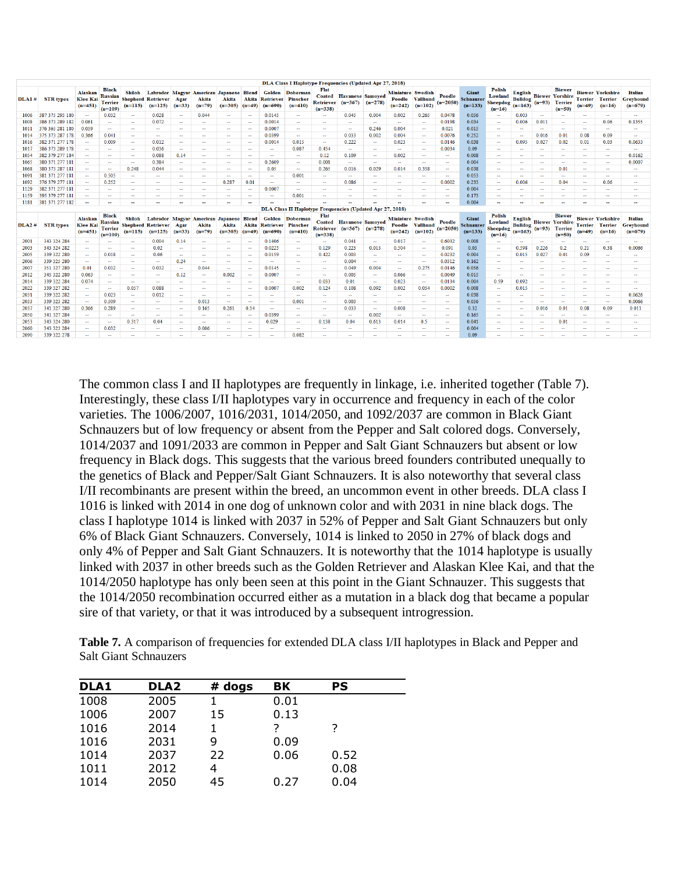| <b>STR</b> types | Alaskan<br><b>Klee Kai</b><br>$(n=451)$        | <b>Black</b><br><b>Terrier</b><br>$(n=109)$                | Shiloh<br>$(n=115)$ | $(n=125)$      | Agar<br>$(n=33)$ | Akita<br>$(n=79)$                                      | Akita<br>$(n=305)$ |                | $(n=690)$                               | $(n=410)$            | Flat<br><b>Coated</b><br>$(n=338)$                                                                                                               | $(n=367)$ | $(n=278)$ | Poodle<br>$(n=242)$           | $(n=102)$                                                                                                                                                                          | Poodle<br>$(n=2050)$                                                    | <b>Giant</b><br>$(n=133)$ | <b>Polish</b><br>Lowland<br>$(n=16)$ | English<br>$(n=163)$        |                                                                                         | <b>Biewer</b><br><b>Terrier</b><br>$(n=50)$  | $(n=49)$         | $(n=16)$               | <b>Italian</b><br>Grevhound<br>$(n=679)$                                                                                                                                                |
|------------------|------------------------------------------------|------------------------------------------------------------|---------------------|----------------|------------------|--------------------------------------------------------|--------------------|----------------|-----------------------------------------|----------------------|--------------------------------------------------------------------------------------------------------------------------------------------------|-----------|-----------|-------------------------------|------------------------------------------------------------------------------------------------------------------------------------------------------------------------------------|-------------------------------------------------------------------------|---------------------------|--------------------------------------|-----------------------------|-----------------------------------------------------------------------------------------|----------------------------------------------|------------------|------------------------|-----------------------------------------------------------------------------------------------------------------------------------------------------------------------------------------|
|                  | $\sim$                                         | 0.032                                                      | $\sim$              | 0.028          | $\sim$           | 0.044                                                  | $\sim$             | $\sim$         | 0.0145                                  | $\sim$               | $\sim$                                                                                                                                           | 0.045     | 0.004     | 0.002                         | 0.265                                                                                                                                                                              | 0.0478                                                                  | 0.056                     | $\sim$                               | 0.003                       | $\sim$                                                                                  | $\sim$                                       | $\sim$           | $\sim$                 | $\sim$                                                                                                                                                                                  |
| 386 373 289 182  | 0.061                                          | н.                                                         | -                   | 0.072          | -                | -                                                      | <b>Service</b>     | - 11           | 0.0014                                  | <b>Service</b>       | -                                                                                                                                                | -         | $\sim$    | $\sim$                        | $\sim$                                                                                                                                                                             | 0.0198                                                                  | 0.034                     | $\sim$                               | 0.006                       | 0.011                                                                                   | -                                            | -                | 0.06                   | 0.1355                                                                                                                                                                                  |
| 376 365 281 180  | 0.059                                          | $\sim$                                                     | $\sim$              | $\sim$         | $\sim$           | $\sim$                                                 | $\sim$             | $\sim$         | 0.0007                                  | $\sim$               | $\sim$                                                                                                                                           | $\sim$    | 0.246     | 0.004                         | $\sim$                                                                                                                                                                             | 0.021                                                                   | 0.015                     | $\sim$                               | $\sim$                      | $\sim$                                                                                  | $\sim$                                       | $\sim$           | $\sim$                 | $\sim$                                                                                                                                                                                  |
|                  | 0.366                                          | 0.041                                                      | $\sim$              | $\sim$         | <b>Security</b>  | $\sim$                                                 | <b>Section</b>     | <b>100</b>     | 0.0399                                  | $\sim$               | <b>Security</b>                                                                                                                                  | 0.033     | 0.002     | 0.004                         | $\sim$                                                                                                                                                                             | 0.0076                                                                  | 0.252                     | $\sim$                               | $\sim$                      | 0.016                                                                                   | 0.01                                         | 0.08             | 0.09                   | $\sim$                                                                                                                                                                                  |
| 382 371 277 178  | $\sim$                                         | 0.009                                                      | $\sim$              | 0.012          | $\sim$           | $\sim$                                                 | $\sim$             | $\sim$         | 0.0014                                  | 0.015                | $\sim$                                                                                                                                           | 0.222     | $\sim$    | 0.023                         | $\sim$                                                                                                                                                                             | 0.0146                                                                  | 0.038                     | $\sim$                               | 0.095                       | 0.027                                                                                   | 0.02                                         | 0.01             | 0.03                   | 0.0633                                                                                                                                                                                  |
| 386 373 289 178  | $\sim$                                         | $\sim$                                                     | $\sim$              | 0.036          | $\sim$           | $\sim$                                                 | $\sim$             | $\sim$         | $\sim$                                  | 0.087                | 0.454                                                                                                                                            | $\sim$    | $\sim$    | $\sim$                        | $\sim$                                                                                                                                                                             | 0.0034                                                                  | 0.09                      | $\sim$                               | $\sim$                      | $\sim$                                                                                  | $\sim$                                       | $\sim$           | $\sim$                 | $\sim$                                                                                                                                                                                  |
| 382 379 277 184  | $\sim$                                         | $\sim$                                                     | $\sim$              | 0.088          | 0.14             | $\sim$                                                 | $\sim$             | $\sim$         | $\sim$                                  | $\sim$               | 0.12                                                                                                                                             | 0.109     | $\sim$    | 0.002                         | $\sim$                                                                                                                                                                             | $\sim$                                                                  | 0.008                     | $\sim$                               | $\sim$                      | $\sim$                                                                                  | $\sim$                                       | $\sim$           | $\sim$                 | 0.0162                                                                                                                                                                                  |
| 380 371 277 181  | $\sim$                                         | $\sim$                                                     | $\sim$              | 0.384          | $\sim$           | ۰.                                                     | $\sim$             | ж.             | 0.2609                                  | $\sim$               | 0.001                                                                                                                                            | $\sim$    | $\sim$    | $\sim$                        | $\overline{a}$                                                                                                                                                                     | -                                                                       | 0.004                     | $\sim$                               | $\sim$                      | $\sim$                                                                                  | $\overline{\phantom{a}}$                     | н.               | $\sim$                 | 0.0007                                                                                                                                                                                  |
| 380 373 287 181  |                                                | $\sim$                                                     | 0.248               | 0.044          | $\sim$           | ÷.                                                     | <b>Section</b>     | -              | 0.05                                    | $\sim$               | 0.265                                                                                                                                            | 0.016     | 0.029     | 0.014                         | 0.358                                                                                                                                                                              | -                                                                       | 0.038                     | н.                                   | $\sim$                      | ш.                                                                                      | 0.01                                         | -                | a.                     | $\sim$                                                                                                                                                                                  |
| 381 371 277 181  | $\sim$                                         | 0.505                                                      | $\sim$              | $\sim$         | $\sim$           | $\sim$                                                 | $\sim$             | $\sim$         | $\sim$                                  | 0.001                | $\sim$                                                                                                                                           | $\sim$    | $\sim$    | $\sim$                        | $\sim$                                                                                                                                                                             | $\sim$                                                                  | 0.053                     | $\sim$                               | $\sim$                      | $\sim$                                                                                  | $\overline{\phantom{a}}$                     | <b>A</b>         | н.                     | $\sim$                                                                                                                                                                                  |
| 376 379 277 181  | $\sim$                                         | 0.252                                                      | $\sim$              | $\sim$         | $\sim$           | $\sim$                                                 | 0.287              | 0.01           | $\sim$                                  | $\sim$               | $\sim$                                                                                                                                           | 0.086     | $\sim$    | $\sim$                        | $\sim$                                                                                                                                                                             | 0.0002                                                                  | 0.233                     | $\sim$                               | 0.006                       | $\sim$                                                                                  | 0.04                                         | $\sim$           | 0.06                   | $\sim$                                                                                                                                                                                  |
| 382 371 277 181  | -                                              | <b>COLUM</b>                                               | <b>Service</b>      | -              | -                | <b>Service</b>                                         | $\sim$             | -              | 0.0007                                  | -                    | -                                                                                                                                                | -         | -         | -                             | <b>COLUM</b>                                                                                                                                                                       | $\sim$                                                                  | 0.004                     | <b>Service</b>                       | $\sim$                      | <b>Service</b>                                                                          | -                                            | -                | <b>Service</b>         | -                                                                                                                                                                                       |
|                  | $\sim$                                         | $\sim$                                                     | $\sim$              | $\sim$         | $\sim$           | $\sim$                                                 | $\sim$             | $\sim$         | $\sim$                                  | 0.001                | $\sim$                                                                                                                                           | $\sim$    | $\sim$    | $\sim$                        | $\sim$                                                                                                                                                                             | $\sim$                                                                  | 0.173                     | $\sim$                               | $\sim$                      | $\sim$                                                                                  | $\sim$                                       | $\sim$           | $\sim$                 | $\sim$                                                                                                                                                                                  |
|                  |                                                | $\sim$                                                     | ш.                  | н.             | $\sim$           | $\sim$                                                 | <b>Section</b>     | -              |                                         |                      |                                                                                                                                                  | ш.        |           |                               | $\sim$                                                                                                                                                                             | -                                                                       | 0.004                     | $\sim$                               | $\sim$                      | $\sim$                                                                                  | --                                           | -                | a.                     | $\sim$                                                                                                                                                                                  |
|                  |                                                |                                                            |                     |                |                  |                                                        |                    |                |                                         |                      |                                                                                                                                                  |           |           |                               |                                                                                                                                                                                    |                                                                         |                           |                                      |                             |                                                                                         |                                              |                  |                        |                                                                                                                                                                                         |
| <b>STR</b> types | <b>Alaskan</b><br><b>Klee Kai</b><br>$(n=451)$ | <b>Black</b><br>Russian<br><b>Terrier</b><br>$(n=109)$     | Shiloh<br>$(n=115)$ | $(n=125)$      | Agar<br>$(n=33)$ | Akita<br>$(n=79)$                                      | Akita<br>$(n=305)$ |                | $(n=690)$                               | $(n=410)$            | Flat<br>$(n=338)$                                                                                                                                |           |           | $(n=242)$                     | $(n=102)$                                                                                                                                                                          | Poodle<br>$(n=2050)$                                                    | <b>Giant</b><br>$(n=133)$ | <b>Polish</b><br>Lowland<br>$(n=16)$ | <b>English</b><br>$(n=163)$ |                                                                                         | <b>Biewer</b><br>$(n=50)$                    | $(n=49)$         | $(n=16)$               | <b>Italian</b><br>Greyhound<br>$(n=679)$                                                                                                                                                |
| 343 324 284      | $\sim$                                         | $\sim$                                                     | н.                  | 0.004          | 0.14             | ÷.                                                     | ÷                  | -              | 0.1406                                  | $\sim$               | $\sim$                                                                                                                                           | 0.041     | ÷         | 0.017                         | ÷                                                                                                                                                                                  | 0.6032                                                                  | 0.008                     | $\sim$                               | $\sim$                      | ÷.                                                                                      | --                                           | н.               | н.                     | $\sim$                                                                                                                                                                                  |
| 343 324 282      | $\sim$                                         | $\sim$                                                     | ш.                  | 0.02           | $\sim$           | $\sim$                                                 | $\sim$             | -              | 0.0225                                  | $\sim$               | 0.129                                                                                                                                            | 0.223     | 0.013     | 0.504                         | ÷                                                                                                                                                                                  | 0.091                                                                   | 0.03                      | $\sim$                               | 0.598                       | 0.226                                                                                   | 0.2                                          | 0.21             | 0.38                   | 0.0066                                                                                                                                                                                  |
| 339 322 280      | $\sim$                                         | 0.018                                                      | $\sim$              | 0.06           | $\sim$           | $\sim$                                                 | $\sim$             | $\sim$         | 0.0159                                  | $\sim$               | 0.422                                                                                                                                            | 0.003     | $\sim$    | $\sim$                        | $\sim$                                                                                                                                                                             | 0.0232                                                                  | 0.004                     | $\sim$                               | 0.015                       | 0.027                                                                                   | 0.01                                         | 0.09             | $\sim$                 | $\sim$                                                                                                                                                                                  |
| 339 325 280      | $\sim$                                         | $\sim$                                                     | $\sim$              | $\sim$         | 0.24             | $\sim$                                                 | $\sim$             | -              | $\sim$                                  | $\sim$               | -                                                                                                                                                | 0.004     | $\sim$    | $\sim$                        | -                                                                                                                                                                                  | 0.0312                                                                  | 0.162                     | $\sim$                               | $\sim$                      | <b>Service</b>                                                                          | $\sim$                                       | $\sim$           | $\sim$                 | $\sim$                                                                                                                                                                                  |
| 351 327 280      | 0.01                                           | 0.032                                                      | $\sim$              | 0.032          | $\sim$           | 0.044                                                  | $\sim$             | $\sim$         | 0.0145                                  | $\sim$               | $\sim$                                                                                                                                           | 0.049     | 0.004     | $\sim$                        | 0.275                                                                                                                                                                              | 0.0146                                                                  | 0.056                     | $\sim$                               | $\sim$                      | $\sim$                                                                                  | $\sim$                                       | $\sim$           | $\sim$                 | $\sim$                                                                                                                                                                                  |
| 345 322 280      | 0.063                                          | $\sim$                                                     | $\sim$              | $\sim$         | 0.12             | $\sim$                                                 | 0.002              | $\sim$         | 0.0007                                  | $\sim$               | $\sim$                                                                                                                                           | 0.005     | $\sim$    | 0.066                         | <b>Section</b>                                                                                                                                                                     | 0.0049                                                                  | 0.015                     | $\sim$                               | $\sim$                      | $\sim$                                                                                  | $\sim$                                       | $\sim$           | $\sim$                 | ÷                                                                                                                                                                                       |
| 339 322 284      | 0.074                                          | $\sim$                                                     | $\sim$              | $\sim$         | $\sim$           | $\sim$                                                 | $\sim$             | $\sim$         | $\sim$                                  | $\sim$               | 0.033                                                                                                                                            | 0.01      | $\sim$    | 0.023                         | $\sim$                                                                                                                                                                             | 0.0134                                                                  | 0.004                     | 0.59                                 | 0.092                       | $\leftarrow$                                                                            | $\sim$                                       | $\sim$           | $\frac{1}{2}$          | $\sim$                                                                                                                                                                                  |
| 339 327 282      | $\sim$                                         | $\sim$                                                     | 0.057               | 0.088          | $\sim$           | $\sim$                                                 | $\sim$             | $\sim$         | 0.0007                                  | 0.002                | 0.124                                                                                                                                            | 0.108     | 0.092     | 0.002                         | 0.054                                                                                                                                                                              | 0.0002                                                                  | 0.008                     | $\sim$                               | 0.015                       | $\sim$                                                                                  | $\sim$                                       | $\sim$           | $\sim$                 | $\sim$                                                                                                                                                                                  |
| 339 322 282      | $\sim$                                         | 0.023                                                      | $\sim$              | 0.012          | $\sim$           | $\sim$                                                 | $\sim$             | $\sim$         | $\sim$                                  | -                    | $\sim$                                                                                                                                           | $\sim$    | $\sim$    | $\sim$                        | $\sim$                                                                                                                                                                             | н.                                                                      | 0.038                     | $\sim$                               | $\sim$                      | $\sim$                                                                                  | $\sim$                                       | $\sim$           | $\sim$                 | 0.0626                                                                                                                                                                                  |
| 339 323 282      | $\sim$                                         | 0.509                                                      | $\sim$              | $\sim$         | $\sim$           | 0.013                                                  | <b>Section</b>     | $\sim$         | $\sim$                                  | 0.001                | $\sim$                                                                                                                                           | 0.003     | $\sim$    | $\sim$                        | $\sim$                                                                                                                                                                             | н.                                                                      | 0.056                     | $\sim$                               | $\sim$                      | $\sim$                                                                                  | $\sim$                                       | $\sim$           | $\sim$                 | 0.0066                                                                                                                                                                                  |
| 341 327 280      | 0.366                                          | 0.289                                                      | н.                  | н.             | ÷                | 0.165                                                  | 0.261              | 0.14           | $\sim$                                  | $\sim$               | ۰.                                                                                                                                               | 0.033     | ۰.        | 0.008                         | $\overline{\phantom{a}}$                                                                                                                                                           | -                                                                       | 0.32                      | $\sim$                               | -                           | 0.016                                                                                   | 0.01                                         | 0.08             | 0.09                   | 0.011                                                                                                                                                                                   |
| 341 327 284      | $\sim$                                         | $\sim$                                                     | $\sim$              | $\sim$         | $\sim$           | $\sim$                                                 | <b>Section</b>     | <b>Section</b> | 0.0399                                  | <b>Section</b>       | $\sim$                                                                                                                                           | $\sim$    | 0.002     | $\sim$                        | $\sim$                                                                                                                                                                             | $\sim$                                                                  | 0.165                     | $\sim$                               | $\overline{\phantom{a}}$    | <b>Service</b>                                                                          | <b>Security</b>                              | $\sim$           | ш.                     | $\sim$                                                                                                                                                                                  |
| 343 324 280      | $\sim$                                         | $\sim$                                                     | 0.317               | 0.04           | $\sim$           | $\sim$                                                 | $\sim$             | $\sim$         |                                         |                      |                                                                                                                                                  |           |           |                               |                                                                                                                                                                                    |                                                                         |                           | $\sim$                               | $\overline{\phantom{m}}$    | $\sim$                                                                                  | 0.01                                         | $\sim$           | $\sim$                 | $\sim$                                                                                                                                                                                  |
|                  |                                                |                                                            |                     |                |                  |                                                        |                    |                |                                         |                      |                                                                                                                                                  |           |           |                               |                                                                                                                                                                                    |                                                                         |                           |                                      |                             |                                                                                         |                                              |                  |                        |                                                                                                                                                                                         |
| 343 323 284      | $\sim$                                         | 0.032                                                      | $\sim$              | $\sim$         | -                | 0.006                                                  | $\sim$             | $\sim$         | $\sim$                                  | $\sim$               | $\sim$                                                                                                                                           | $\sim$    | $\sim$    | $\sim$                        | $\sim$                                                                                                                                                                             | $\sim$                                                                  | 0.004                     | $\sim$                               | $\sim$                      | <b>Service</b>                                                                          | $\sim$                                       | $\sim$           | $\sim$                 | $\sim$                                                                                                                                                                                  |
|                  | DLAI#<br>395 379 277 181<br><b>DLA2#</b>       | 387 375 293 180<br>375 373 287 178<br>1181 381 371 277 182 |                     | <b>Russian</b> |                  | <b>Shepherd Retriever</b><br><b>Shepherd Retriever</b> |                    |                | Labrador Magyar American Japanese Blend | $(n=49)$<br>$(n=49)$ | Golden Doberman<br><b>Akita Retriever Pinscher</b><br>Labrador Magyar American Japanese Blend Golden Doberman<br><b>Akita Retriever Pinscher</b> |           | Retriever | Retriever $(n=367)$ $(n=278)$ | DLA Class I Haplotype Frequencies (Updated Apr 27, 2018)<br><b>Havanese Samoved</b><br>DLA Class II Haplotype Frequencies (Updated Apr 27, 2018)<br><b>Coated Havanese Samoyed</b> | <b>Miniature Swedish</b><br><b>Vallhund</b><br><b>Miniature Swedish</b> | Poodle Vallhund<br>$\sim$ | Schnauzer<br>$\sim$                  | <b>Schnauzer</b>            | <b>Sheepdog</b><br>Sheepdog<br>0.029<br>0.138<br>0.613<br>0.041<br>0.04<br>0.014<br>0.5 | <b>Bulldog</b><br>$(n=93)$<br><b>Bulldog</b> | $(n=93)$ Terrier | <b>Biewer Yorshire</b> | <b>Biewer Yorkshire</b><br>${\bf Biewer} \begin{array}{c c} {\bf Yorshire} & {\bf \overline{1}errier} & {\bf Terrier} \end{array}$<br><b>Biewer Yorkshire</b><br><b>Terrier Terrier</b> |

The common class I and II haplotypes are frequently in linkage, i.e. inherited together (Table 7). Interestingly, these class I/II haplotypes vary in occurrence and frequency in each of the color varieties. The 1006/2007, 1016/2031, 1014/2050, and 1092/2037 are common in Black Giant Schnauzers but of low frequency or absent from the Pepper and Salt colored dogs. Conversely, 1014/2037 and 1091/2033 are common in Pepper and Salt Giant Schnauzers but absent or low frequency in Black dogs. This suggests that the various breed founders contributed unequally to the genetics of Black and Pepper/Salt Giant Schnauzers. It is also noteworthy that several class I/II recombinants are present within the breed, an uncommon event in other breeds. DLA class I 1016 is linked with 2014 in one dog of unknown color and with 2031 in nine black dogs. The class I haplotype 1014 is linked with 2037 in 52% of Pepper and Salt Giant Schnauzers but only 6% of Black Giant Schnauzers. Conversely, 1014 is linked to 2050 in 27% of black dogs and only 4% of Pepper and Salt Giant Schnauzers. It is noteworthy that the 1014 haplotype is usually linked with 2037 in other breeds such as the Golden Retriever and Alaskan Klee Kai, and that the 1014/2050 haplotype has only been seen at this point in the Giant Schnauzer. This suggests that the 1014/2050 recombination occurred either as a mutation in a black dog that became a popular sire of that variety, or that it was introduced by a subsequent introgression.

| <b>Table 7.</b> A comparison of frequencies for extended DLA class I/II haplotypes in Black and Pepper and |  |
|------------------------------------------------------------------------------------------------------------|--|
| <b>Salt Giant Schnauzers</b>                                                                               |  |

| DLA1 | DLA <sub>2</sub> | $#$ dogs | BK   | PS   |  |
|------|------------------|----------|------|------|--|
| 1008 | 2005             |          | 0.01 |      |  |
| 1006 | 2007             | 15       | 0.13 |      |  |
| 1016 | 2014             |          | ?    | 7    |  |
| 1016 | 2031             | 9        | 0.09 |      |  |
| 1014 | 2037             | 22       | 0.06 | 0.52 |  |
| 1011 | 2012             | 4        |      | 0.08 |  |
| 1014 | 2050             | 45       | 0.27 | 0.04 |  |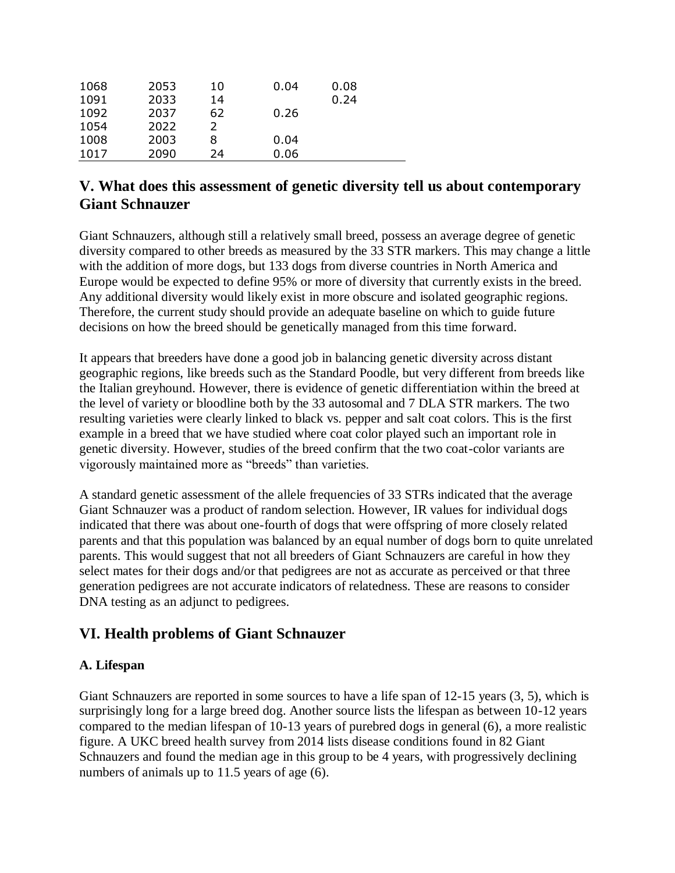## **V. What does this assessment of genetic diversity tell us about contemporary Giant Schnauzer**

Giant Schnauzers, although still a relatively small breed, possess an average degree of genetic diversity compared to other breeds as measured by the 33 STR markers. This may change a little with the addition of more dogs, but 133 dogs from diverse countries in North America and Europe would be expected to define 95% or more of diversity that currently exists in the breed. Any additional diversity would likely exist in more obscure and isolated geographic regions. Therefore, the current study should provide an adequate baseline on which to guide future decisions on how the breed should be genetically managed from this time forward.

It appears that breeders have done a good job in balancing genetic diversity across distant geographic regions, like breeds such as the Standard Poodle, but very different from breeds like the Italian greyhound. However, there is evidence of genetic differentiation within the breed at the level of variety or bloodline both by the 33 autosomal and 7 DLA STR markers. The two resulting varieties were clearly linked to black vs. pepper and salt coat colors. This is the first example in a breed that we have studied where coat color played such an important role in genetic diversity. However, studies of the breed confirm that the two coat-color variants are vigorously maintained more as "breeds" than varieties.

A standard genetic assessment of the allele frequencies of 33 STRs indicated that the average Giant Schnauzer was a product of random selection. However, IR values for individual dogs indicated that there was about one-fourth of dogs that were offspring of more closely related parents and that this population was balanced by an equal number of dogs born to quite unrelated parents. This would suggest that not all breeders of Giant Schnauzers are careful in how they select mates for their dogs and/or that pedigrees are not as accurate as perceived or that three generation pedigrees are not accurate indicators of relatedness. These are reasons to consider DNA testing as an adjunct to pedigrees.

## **VI. Health problems of Giant Schnauzer**

### **A. Lifespan**

Giant Schnauzers are reported in some sources to have a life span of 12-15 years (3, 5), which is surprisingly long for a large breed dog. Another source lists the lifespan as between 10-12 years compared to the median lifespan of 10-13 years of purebred dogs in general (6), a more realistic figure. A UKC breed health survey from 2014 lists disease conditions found in 82 Giant Schnauzers and found the median age in this group to be 4 years, with progressively declining numbers of animals up to 11.5 years of age (6).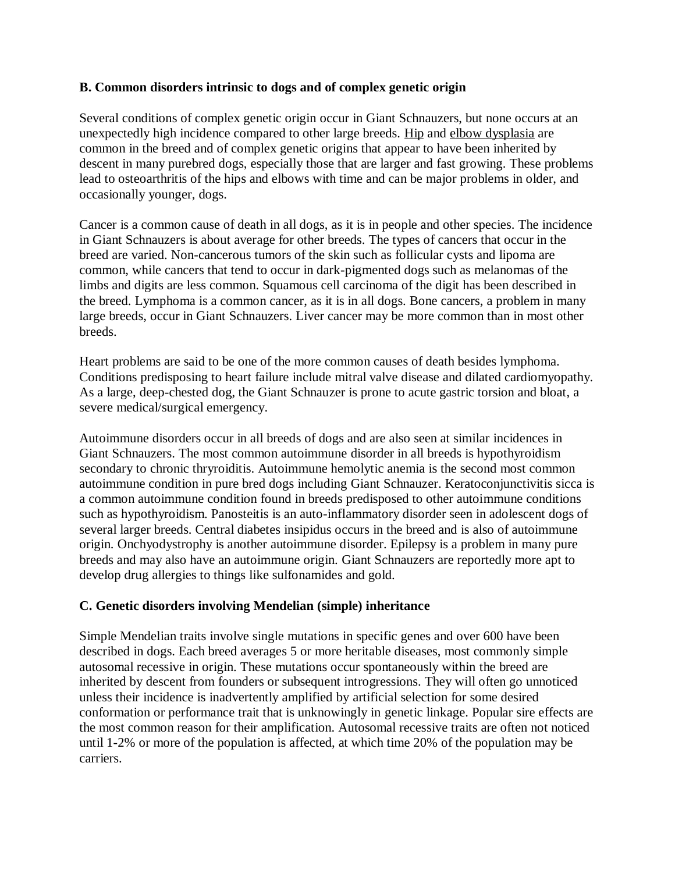#### **B. Common disorders intrinsic to dogs and of complex genetic origin**

Several conditions of complex genetic origin occur in Giant Schnauzers, but none occurs at an unexpectedly high incidence compared to other large breeds. [Hip](https://en.wikipedia.org/wiki/Hip_dysplasia_(canine)) and [elbow dysplasia](https://en.wikipedia.org/wiki/Elbow_dysplasia) are common in the breed and of complex genetic origins that appear to have been inherited by descent in many purebred dogs, especially those that are larger and fast growing. These problems lead to osteoarthritis of the hips and elbows with time and can be major problems in older, and occasionally younger, dogs.

Cancer is a common cause of death in all dogs, as it is in people and other species. The incidence in Giant Schnauzers is about average for other breeds. The types of cancers that occur in the breed are varied. Non-cancerous tumors of the skin such as follicular cysts and lipoma are common, while cancers that tend to occur in dark-pigmented dogs such as melanomas of the limbs and digits are less common. Squamous cell carcinoma of the digit has been described in the breed. Lymphoma is a common cancer, as it is in all dogs. Bone cancers, a problem in many large breeds, occur in Giant Schnauzers. Liver cancer may be more common than in most other breeds.

Heart problems are said to be one of the more common causes of death besides lymphoma. Conditions predisposing to heart failure include mitral valve disease and dilated cardiomyopathy. As a large, deep-chested dog, the Giant Schnauzer is prone to acute gastric torsion and bloat, a severe medical/surgical emergency.

Autoimmune disorders occur in all breeds of dogs and are also seen at similar incidences in Giant Schnauzers. The most common autoimmune disorder in all breeds is hypothyroidism secondary to chronic thryroiditis. Autoimmune hemolytic anemia is the second most common autoimmune condition in pure bred dogs including Giant Schnauzer. Keratoconjunctivitis sicca is a common autoimmune condition found in breeds predisposed to other autoimmune conditions such as hypothyroidism. Panosteitis is an auto-inflammatory disorder seen in adolescent dogs of several larger breeds. Central diabetes insipidus occurs in the breed and is also of autoimmune origin. Onchyodystrophy is another autoimmune disorder. Epilepsy is a problem in many pure breeds and may also have an autoimmune origin. Giant Schnauzers are reportedly more apt to develop drug allergies to things like sulfonamides and gold.

#### **C. Genetic disorders involving Mendelian (simple) inheritance**

Simple Mendelian traits involve single mutations in specific genes and over 600 have been described in dogs. Each breed averages 5 or more heritable diseases, most commonly simple autosomal recessive in origin. These mutations occur spontaneously within the breed are inherited by descent from founders or subsequent introgressions. They will often go unnoticed unless their incidence is inadvertently amplified by artificial selection for some desired conformation or performance trait that is unknowingly in genetic linkage. Popular sire effects are the most common reason for their amplification. Autosomal recessive traits are often not noticed until 1-2% or more of the population is affected, at which time 20% of the population may be carriers.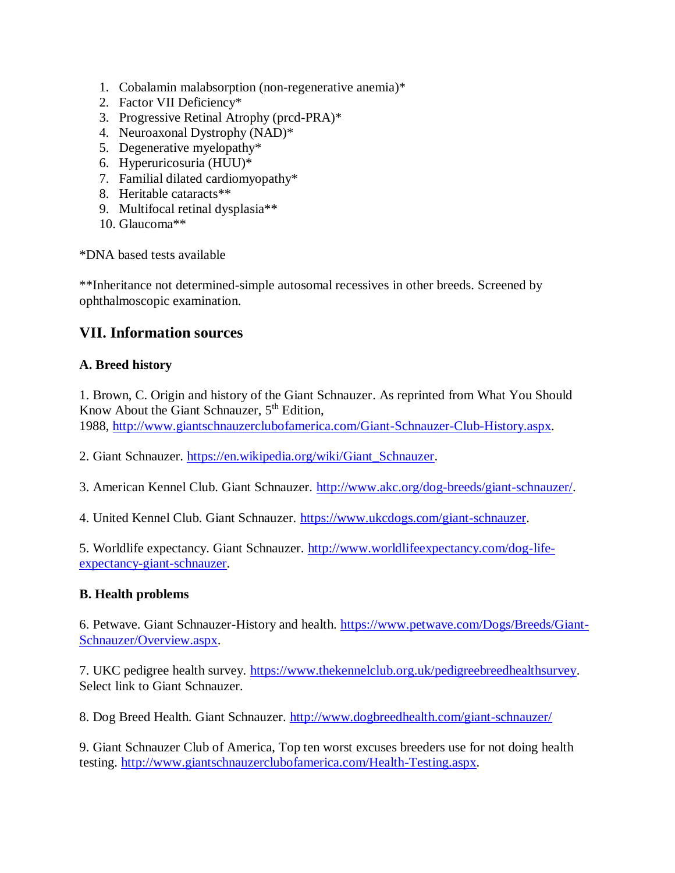- 1. Cobalamin malabsorption (non-regenerative anemia)\*
- 2. Factor VII Deficiency\*
- 3. Progressive Retinal Atrophy (prcd-PRA)\*
- 4. Neuroaxonal Dystrophy (NAD)\*
- 5. Degenerative myelopathy\*
- 6. Hyperuricosuria (HUU)\*
- 7. Familial dilated cardiomyopathy\*
- 8. Heritable cataracts\*\*
- 9. Multifocal retinal dysplasia\*\*
- 10. Glaucoma\*\*

\*DNA based tests available

\*\*Inheritance not determined-simple autosomal recessives in other breeds. Screened by ophthalmoscopic examination.

## **VII. Information sources**

### **A. Breed history**

1. Brown, C. Origin and history of the Giant Schnauzer. As reprinted from What You Should Know About the Giant Schnauzer,  $5<sup>th</sup>$  Edition,

1988, [http://www.giantschnauzerclubofamerica.com/Giant-Schnauzer-Club-History.aspx.](http://www.giantschnauzerclubofamerica.com/Giant-Schnauzer-Club-History.aspx)

2. Giant Schnauzer. [https://en.wikipedia.org/wiki/Giant\\_Schnauzer.](https://en.wikipedia.org/wiki/Giant_Schnauzer)

3. American Kennel Club. Giant Schnauzer. [http://www.akc.org/dog-breeds/giant-schnauzer/.](http://www.akc.org/dog-breeds/giant-schnauzer/)

4. United Kennel Club. Giant Schnauzer. [https://www.ukcdogs.com/giant-schnauzer.](https://www.ukcdogs.com/giant-schnauzer)

5. Worldlife expectancy. Giant Schnauzer. [http://www.worldlifeexpectancy.com/dog-life](http://www.worldlifeexpectancy.com/dog-life-expectancy-giant-schnauzer)[expectancy-giant-schnauzer.](http://www.worldlifeexpectancy.com/dog-life-expectancy-giant-schnauzer)

### **B. Health problems**

6. Petwave. Giant Schnauzer-History and health. [https://www.petwave.com/Dogs/Breeds/Giant-](https://www.petwave.com/Dogs/Breeds/Giant-Schnauzer/Overview.aspx)[Schnauzer/Overview.aspx.](https://www.petwave.com/Dogs/Breeds/Giant-Schnauzer/Overview.aspx)

7. UKC pedigree health survey. [https://www.thekennelclub.org.uk/pedigreebreedhealthsurvey.](https://www.thekennelclub.org.uk/pedigreebreedhealthsurvey) Select link to Giant Schnauzer.

8. Dog Breed Health. Giant Schnauzer. <http://www.dogbreedhealth.com/giant-schnauzer/>

9. Giant Schnauzer Club of America, Top ten worst excuses breeders use for not doing health testing. [http://www.giantschnauzerclubofamerica.com/Health-Testing.aspx.](http://www.giantschnauzerclubofamerica.com/Health-Testing.aspx)